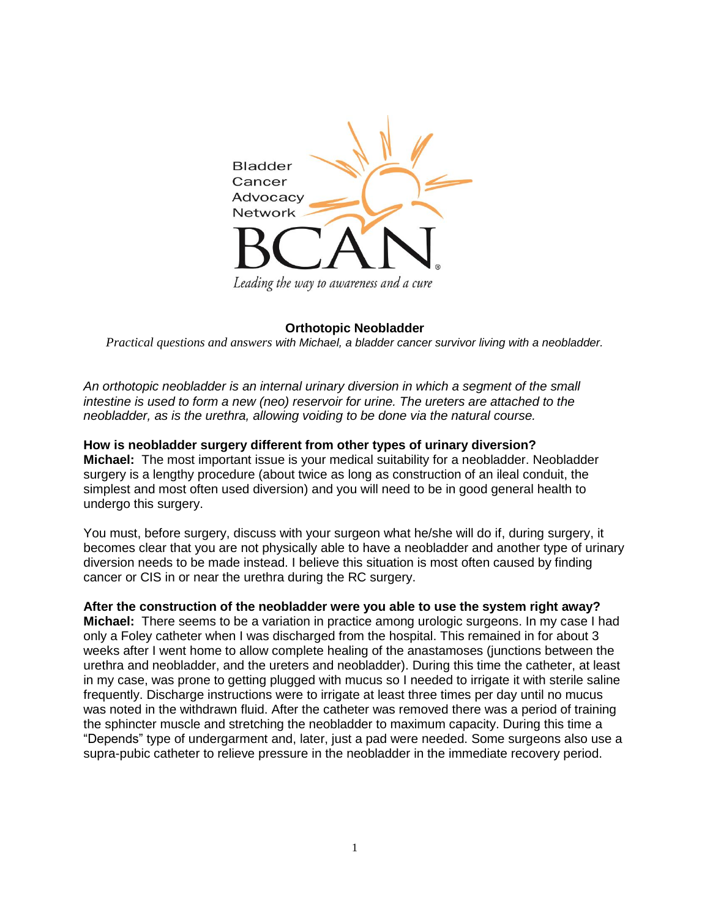

## **Orthotopic Neobladder**

*Practical questions and answers with Michael, a bladder cancer survivor living with a neobladder.*

*An orthotopic neobladder is an internal urinary diversion in which a segment of the small intestine is used to form a new (neo) reservoir for urine. The ureters are attached to the neobladder, as is the urethra, allowing voiding to be done via the natural course.*

**How is neobladder surgery different from other types of urinary diversion? Michael:** The most important issue is your medical suitability for a neobladder. Neobladder surgery is a lengthy procedure (about twice as long as construction of an ileal conduit, the simplest and most often used diversion) and you will need to be in good general health to undergo this surgery.

You must, before surgery, discuss with your surgeon what he/she will do if, during surgery, it becomes clear that you are not physically able to have a neobladder and another type of urinary diversion needs to be made instead. I believe this situation is most often caused by finding cancer or CIS in or near the urethra during the RC surgery.

**After the construction of the neobladder were you able to use the system right away? Michael:** There seems to be a variation in practice among urologic surgeons. In my case I had only a Foley catheter when I was discharged from the hospital. This remained in for about 3 weeks after I went home to allow complete healing of the anastamoses (junctions between the urethra and neobladder, and the ureters and neobladder). During this time the catheter, at least in my case, was prone to getting plugged with mucus so I needed to irrigate it with sterile saline frequently. Discharge instructions were to irrigate at least three times per day until no mucus was noted in the withdrawn fluid. After the catheter was removed there was a period of training the sphincter muscle and stretching the neobladder to maximum capacity. During this time a "Depends" type of undergarment and, later, just a pad were needed. Some surgeons also use a supra-pubic catheter to relieve pressure in the neobladder in the immediate recovery period.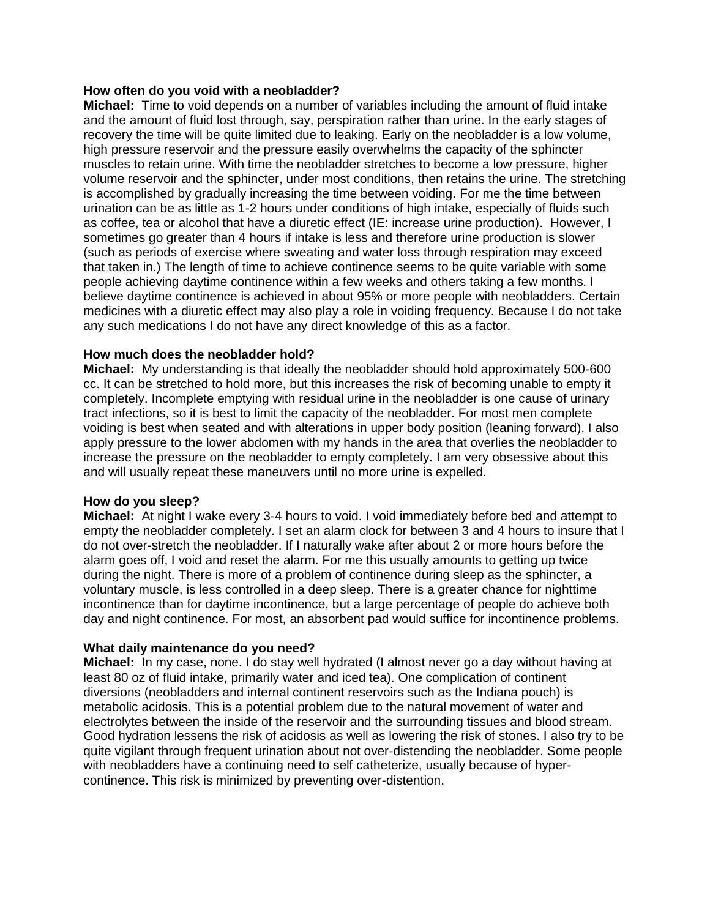## **How often do you void with a neobladder?**

**Michael:** Time to void depends on a number of variables including the amount of fluid intake and the amount of fluid lost through, say, perspiration rather than urine. In the early stages of recovery the time will be quite limited due to leaking. Early on the neobladder is a low volume, high pressure reservoir and the pressure easily overwhelms the capacity of the sphincter muscles to retain urine. With time the neobladder stretches to become a low pressure, higher volume reservoir and the sphincter, under most conditions, then retains the urine. The stretching is accomplished by gradually increasing the time between voiding. For me the time between urination can be as little as 1-2 hours under conditions of high intake, especially of fluids such as coffee, tea or alcohol that have a diuretic effect (IE: increase urine production). However, I sometimes go greater than 4 hours if intake is less and therefore urine production is slower (such as periods of exercise where sweating and water loss through respiration may exceed that taken in.) The length of time to achieve continence seems to be quite variable with some people achieving daytime continence within a few weeks and others taking a few months. I believe daytime continence is achieved in about 95% or more people with neobladders. Certain medicines with a diuretic effect may also play a role in voiding frequency. Because I do not take any such medications I do not have any direct knowledge of this as a factor.

# **How much does the neobladder hold?**

**Michael:** My understanding is that ideally the neobladder should hold approximately 500-600 cc. It can be stretched to hold more, but this increases the risk of becoming unable to empty it completely. Incomplete emptying with residual urine in the neobladder is one cause of urinary tract infections, so it is best to limit the capacity of the neobladder. For most men complete voiding is best when seated and with alterations in upper body position (leaning forward). I also apply pressure to the lower abdomen with my hands in the area that overlies the neobladder to increase the pressure on the neobladder to empty completely. I am very obsessive about this and will usually repeat these maneuvers until no more urine is expelled.

## **How do you sleep?**

**Michael:** At night I wake every 3-4 hours to void. I void immediately before bed and attempt to empty the neobladder completely. I set an alarm clock for between 3 and 4 hours to insure that I do not over-stretch the neobladder. If I naturally wake after about 2 or more hours before the alarm goes off, I void and reset the alarm. For me this usually amounts to getting up twice during the night. There is more of a problem of continence during sleep as the sphincter, a voluntary muscle, is less controlled in a deep sleep. There is a greater chance for nighttime incontinence than for daytime incontinence, but a large percentage of people do achieve both day and night continence. For most, an absorbent pad would suffice for incontinence problems.

# **What daily maintenance do you need?**

**Michael:** In my case, none. I do stay well hydrated (I almost never go a day without having at least 80 oz of fluid intake, primarily water and iced tea). One complication of continent diversions (neobladders and internal continent reservoirs such as the Indiana pouch) is metabolic acidosis. This is a potential problem due to the natural movement of water and electrolytes between the inside of the reservoir and the surrounding tissues and blood stream. Good hydration lessens the risk of acidosis as well as lowering the risk of stones. I also try to be quite vigilant through frequent urination about not over-distending the neobladder. Some people with neobladders have a continuing need to self catheterize, usually because of hypercontinence. This risk is minimized by preventing over-distention.